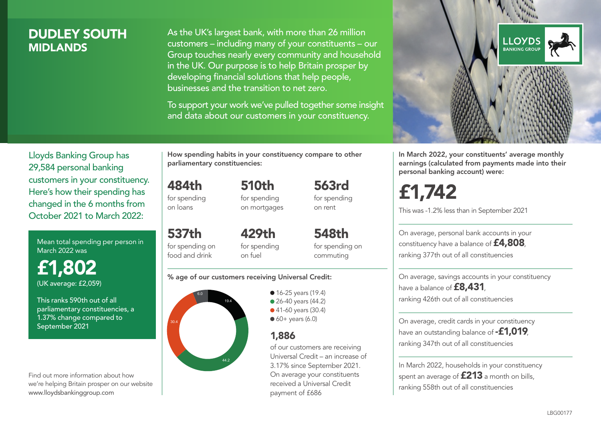## DUDLEY SOUTH **MIDI ANDS**

As the UK's largest bank, with more than 26 million customers – including many of your constituents – our Group touches nearly every community and household in the UK. Our purpose is to help Britain prosper by developing financial solutions that help people, businesses and the transition to net zero.

To support your work we've pulled together some insight and data about our customers in your constituency.



In March 2022, your constituents' average monthly earnings (calculated from payments made into their personal banking account) were:

£1,742

This was -1.2% less than in September 2021

On average, personal bank accounts in your constituency have a balance of £4,808, ranking 377th out of all constituencies

On average, savings accounts in your constituency have a balance of **£8,431**, ranking 426th out of all constituencies

On average, credit cards in your constituency have an outstanding balance of **-£1,019** ranking 347th out of all constituencies

In March 2022, households in your constituency spent an average of  $£213$  a month on bills, ranking 558th out of all constituencies

Lloyds Banking Group has 29,584 personal banking customers in your constituency. Here's how their spending has changed in the 6 months from October 2021 to March 2022:

Mean total spending per person in March 2022 was

£1,802 (UK average: £2,059)

This ranks 590th out of all parliamentary constituencies, a 1.37% change compared to September 2021

Find out more information about how we're helping Britain prosper on our website www.lloydsbankinggroup.com

How spending habits in your constituency compare to other parliamentary constituencies:

484th for spending 510th for spending

on loans

on mortgages

537th for spending on food and drink 429th for spending on fuel

for spending on commuting

548th

563rd for spending on rent

#### % age of our customers receiving Universal Credit:



• 16-25 years (19.4) • 26-40 years (44.2) ● 41-60 years (30.4)  $60+$  years (6.0)

### 1,886

of our customers are receiving Universal Credit – an increase of 3.17% since September 2021. On average your constituents received a Universal Credit payment of £686